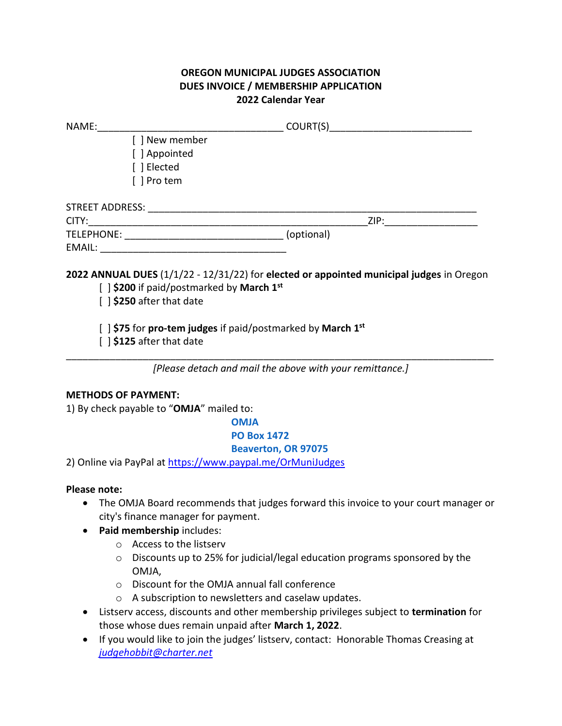## **OREGON MUNICIPAL JUDGES ASSOCIATION DUES INVOICE / MEMBERSHIP APPLICATION 2022 Calendar Year**

| NAME:                                                         |            |  |
|---------------------------------------------------------------|------------|--|
| [ ] New member<br>[ ] Appointed<br>[ ] Elected<br>[ ] Pro tem |            |  |
| STREET ADDRESS:                                               |            |  |
| CITY:                                                         | ZIP:       |  |
| TELEPHONE:                                                    | (optional) |  |
| EMAIL:                                                        |            |  |

**2022 ANNUAL DUES** (1/1/22 - 12/31/22) for **elected or appointed municipal judges** in Oregon

[ ] **\$200** if paid/postmarked by **March 1st**

[ ] **\$250** after that date

[ ] **\$75** for **pro-tem judges** if paid/postmarked by **March 1st**

[ ] **\$125** after that date

\_\_\_\_\_\_\_\_\_\_\_\_\_\_\_\_\_\_\_\_\_\_\_\_\_\_\_\_\_\_\_\_\_\_\_\_\_\_\_\_\_\_\_\_\_\_\_\_\_\_\_\_\_\_\_\_\_\_\_\_\_\_\_\_\_\_\_\_\_\_\_\_\_\_\_\_\_\_ *[Please detach and mail the above with your remittance.]*

## **METHODS OF PAYMENT:**

1) By check payable to "**OMJA**" mailed to:

**OMJA PO Box 1472 Beaverton, OR 97075**

2) Online via PayPal at [https://www.paypal.me/OrMuniJudges](https://us-west-2.protection.sophos.com/?d=paypal.me&u=aHR0cHM6Ly93d3cucGF5cGFsLm1lL09yTXVuaUp1ZGdlcw==&i=NThkOTg0MjhiMDMyODkxNGUwY2Y1NDhj&t=SXpmWmZkVzNTaWpCa3N6TmVQUkNtc2dia1NZY0VaRStRMG4zR2dILzZWWT0=&h=2075e489b6ab47cf8daec792a06d5a11)

## **Please note:**

- The OMJA Board recommends that judges forward this invoice to your court manager or city's finance manager for payment.
- **Paid membership** includes:
	- o Access to the listserv
	- o Discounts up to 25% for judicial/legal education programs sponsored by the OMJA,
	- o Discount for the OMJA annual fall conference
	- o A subscription to newsletters and caselaw updates.
- Listserv access, discounts and other membership privileges subject to **termination** for those whose dues remain unpaid after **March 1, 2022**.
- If you would like to join the judges' listserv, contact: Honorable Thomas Creasing at *[judgehobbit@charter.net](mailto:judgehobbit@charter.net)*